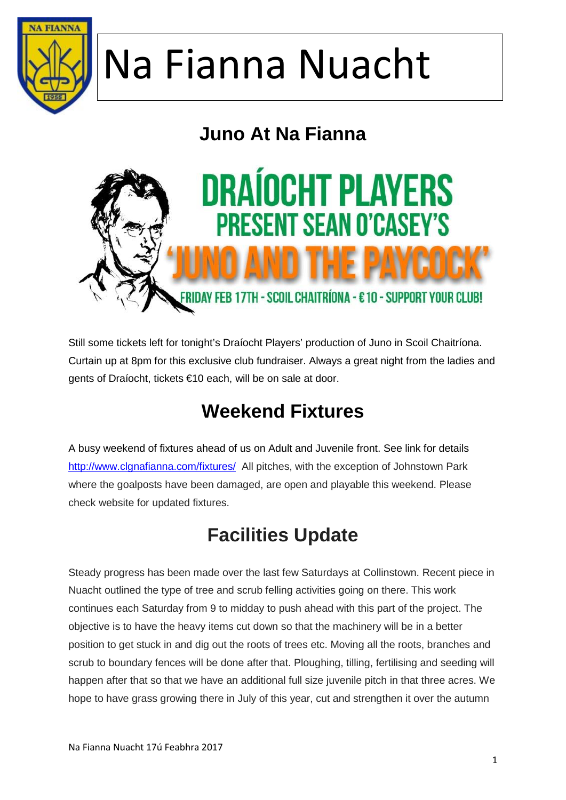

#### **Juno At Na Fianna**



Still some tickets left for tonight's Draíocht Players' production of Juno in Scoil Chaitríona. Curtain up at 8pm for this exclusive club fundraiser. Always a great night from the ladies and gents of Draíocht, tickets €10 each, will be on sale at door.

#### **Weekend Fixtures**

A busy weekend of fixtures ahead of us on Adult and Juvenile front. See link for details http://www.clgnafianna.com/fixtures/ All pitches, with the exception of Johnstown Park where the goalposts have been damaged, are open and playable this weekend. Please check website for updated fixtures.

#### **Facilities Update**

Steady progress has been made over the last few Saturdays at Collinstown. Recent piece in Nuacht outlined the type of tree and scrub felling activities going on there. This work continues each Saturday from 9 to midday to push ahead with this part of the project. The objective is to have the heavy items cut down so that the machinery will be in a better position to get stuck in and dig out the roots of trees etc. Moving all the roots, branches and scrub to boundary fences will be done after that. Ploughing, tilling, fertilising and seeding will happen after that so that we have an additional full size juvenile pitch in that three acres. We hope to have grass growing there in July of this year, cut and strengthen it over the autumn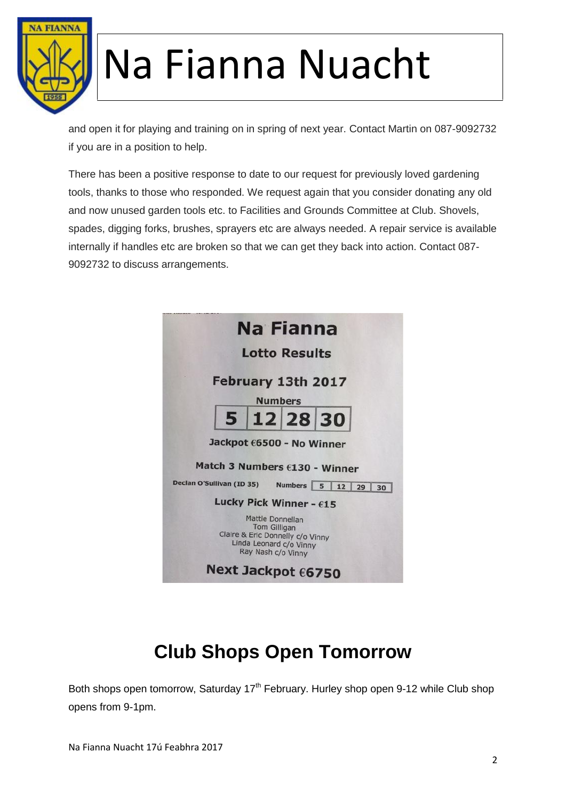

and open it for playing and training on in spring of next year. Contact Martin on 087-9092732 if you are in a position to help.

There has been a positive response to date to our request for previously loved gardening tools, thanks to those who responded. We request again that you consider donating any old and now unused garden tools etc. to Facilities and Grounds Committee at Club. Shovels, spades, digging forks, brushes, sprayers etc are always needed. A repair service is available internally if handles etc are broken so that we can get they back into action. Contact 087- 9092732 to discuss arrangements.



#### **Club Shops Open Tomorrow**

Both shops open tomorrow, Saturday 17<sup>th</sup> February. Hurley shop open 9-12 while Club shop opens from 9-1pm.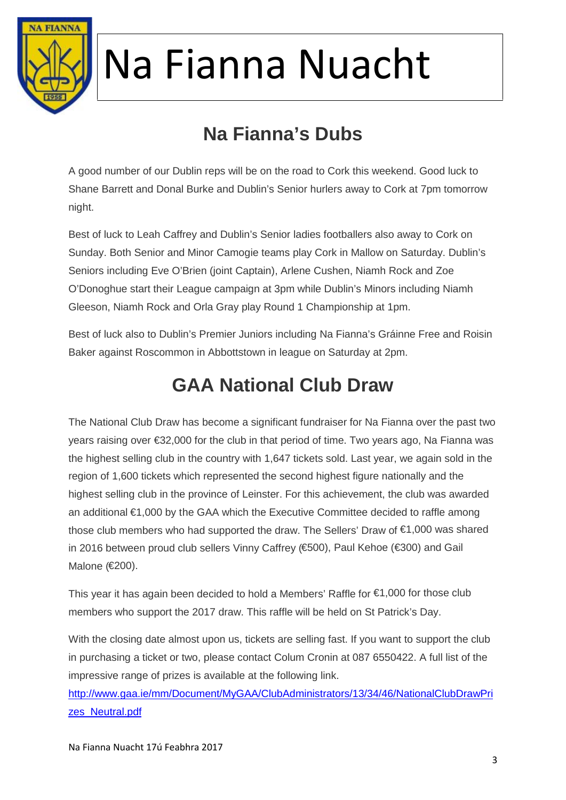

### **Na Fianna's Dubs**

A good number of our Dublin reps will be on the road to Cork this weekend. Good luck to Shane Barrett and Donal Burke and Dublin's Senior hurlers away to Cork at 7pm tomorrow night.

Best of luck to Leah Caffrey and Dublin's Senior ladies footballers also away to Cork on Sunday. Both Senior and Minor Camogie teams play Cork in Mallow on Saturday. Dublin's Seniors including Eve O'Brien (joint Captain), Arlene Cushen, Niamh Rock and Zoe O'Donoghue start their League campaign at 3pm while Dublin's Minors including Niamh Gleeson, Niamh Rock and Orla Gray play Round 1 Championship at 1pm.

Best of luck also to Dublin's Premier Juniors including Na Fianna's Gráinne Free and Roisin Baker against Roscommon in Abbottstown in league on Saturday at 2pm.

#### **GAA National Club Draw**

The National Club Draw has become a significant fundraiser for Na Fianna over the past two years raising over €32,000 for the club in that period of time. Two years ago, Na Fianna was the highest selling club in the country with 1,647 tickets sold. Last year, we again sold in the region of 1,600 tickets which represented the second highest figure nationally and the highest selling club in the province of Leinster. For this achievement, the club was awarded an additional €1,000 by the GAA which the Executive Committee decided to raffle among those club members who had supported the draw. The Sellers' Draw of €1,000 was shared in 2016 between proud club sellers Vinny Caffrey (€500), Paul Kehoe (€300) and Gail Malone (€200).

This year it has again been decided to hold a Members' Raffle for  $\epsilon$ 1,000 for those club members who support the 2017 draw. This raffle will be held on St Patrick's Day.

With the closing date almost upon us, tickets are selling fast. If you want to support the club in purchasing a ticket or two, please contact Colum Cronin at 087 6550422. A full list of the impressive range of prizes is available at the following link.

http://www.gaa.ie/mm/Document/MyGAA/ClubAdministrators/13/34/46/NationalClubDrawPri zes\_Neutral.pdf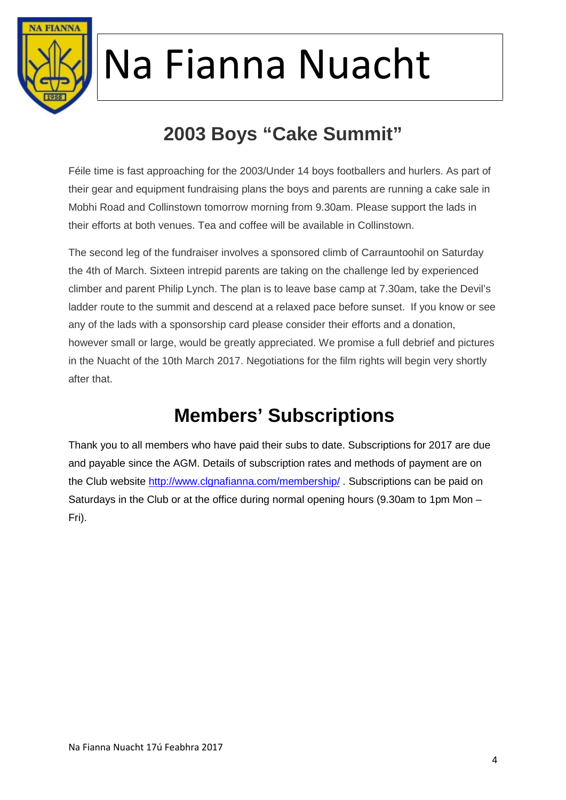

### **2003 Boys "Cake Summit"**

Féile time is fast approaching for the 2003/Under 14 boys footballers and hurlers. As part of their gear and equipment fundraising plans the boys and parents are running a cake sale in Mobhi Road and Collinstown tomorrow morning from 9.30am. Please support the lads in their efforts at both venues. Tea and coffee will be available in Collinstown.

The second leg of the fundraiser involves a sponsored climb of Carrauntoohil on Saturday the 4th of March. Sixteen intrepid parents are taking on the challenge led by experienced climber and parent Philip Lynch. The plan is to leave base camp at 7.30am, take the Devil's ladder route to the summit and descend at a relaxed pace before sunset. If you know or see any of the lads with a sponsorship card please consider their efforts and a donation, however small or large, would be greatly appreciated. We promise a full debrief and pictures in the Nuacht of the 10th March 2017. Negotiations for the film rights will begin very shortly after that.

#### **Members' Subscriptions**

Thank you to all members who have paid their subs to date. Subscriptions for 2017 are due and payable since the AGM. Details of subscription rates and methods of payment are on the Club website http://www.clgnafianna.com/membership/ . Subscriptions can be paid on Saturdays in the Club or at the office during normal opening hours (9.30am to 1pm Mon – Fri).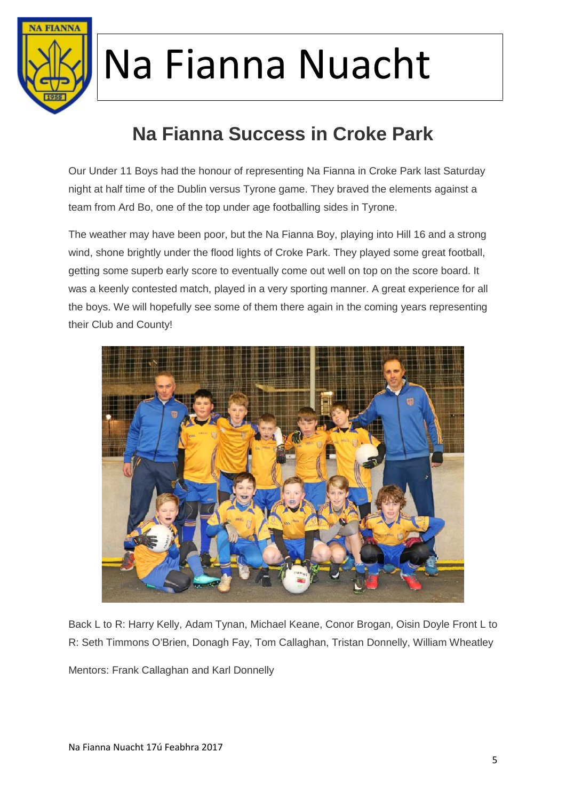

### **Na Fianna Success in Croke Park**

Our Under 11 Boys had the honour of representing Na Fianna in Croke Park last Saturday night at half time of the Dublin versus Tyrone game. They braved the elements against a team from Ard Bo, one of the top under age footballing sides in Tyrone.

The weather may have been poor, but the Na Fianna Boy, playing into Hill 16 and a strong wind, shone brightly under the flood lights of Croke Park. They played some great football, getting some superb early score to eventually come out well on top on the score board. It was a keenly contested match, played in a very sporting manner. A great experience for all the boys. We will hopefully see some of them there again in the coming years representing their Club and County!



Back L to R: Harry Kelly, Adam Tynan, Michael Keane, Conor Brogan, Oisin Doyle Front L to R: Seth Timmons O'Brien, Donagh Fay, Tom Callaghan, Tristan Donnelly, William Wheatley

Mentors: Frank Callaghan and Karl Donnelly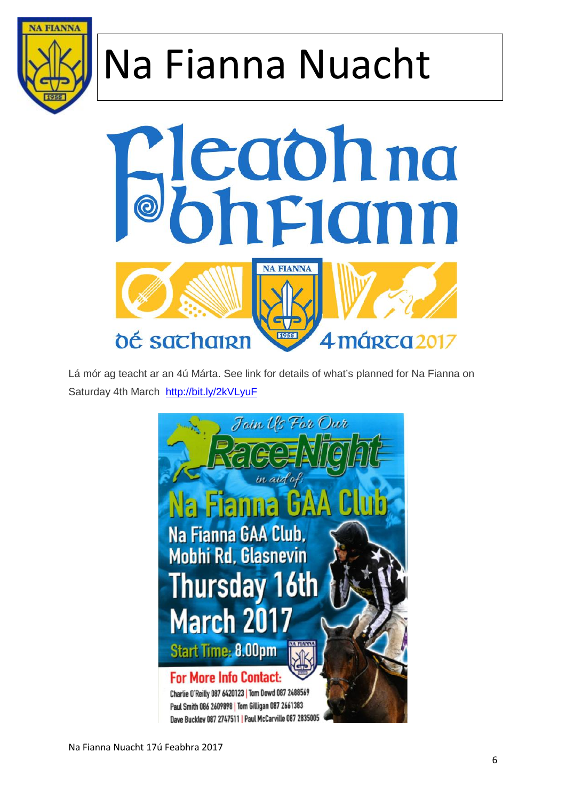



Lá mór ag teacht ar an 4ú Márta. See link for details of what's planned for Na Fianna on Saturday 4th March http://bit.ly/2kVLyuF

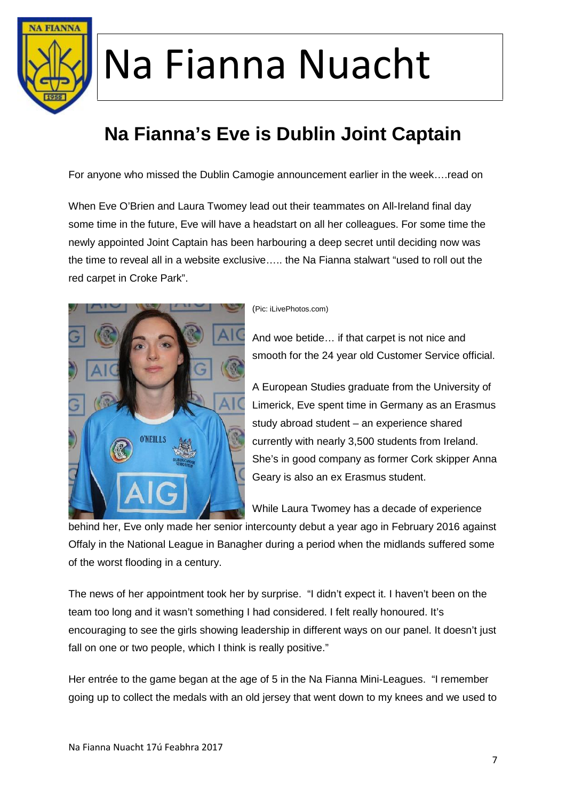

### **Na Fianna's Eve is Dublin Joint Captain**

For anyone who missed the Dublin Camogie announcement earlier in the week….read on

When Eve O'Brien and Laura Twomey lead out their teammates on All-Ireland final day some time in the future, Eve will have a headstart on all her colleagues. For some time the newly appointed Joint Captain has been harbouring a deep secret until deciding now was the time to reveal all in a website exclusive….. the Na Fianna stalwart "used to roll out the red carpet in Croke Park".



#### (Pic: iLivePhotos.com)

And woe betide… if that carpet is not nice and smooth for the 24 year old Customer Service official.

A European Studies graduate from the University of Limerick, Eve spent time in Germany as an Erasmus study abroad student – an experience shared currently with nearly 3,500 students from Ireland. She's in good company as former Cork skipper Anna Geary is also an ex Erasmus student.

While Laura Twomey has a decade of experience

behind her, Eve only made her senior intercounty debut a year ago in February 2016 against Offaly in the National League in Banagher during a period when the midlands suffered some of the worst flooding in a century.

The news of her appointment took her by surprise. "I didn't expect it. I haven't been on the team too long and it wasn't something I had considered. I felt really honoured. It's encouraging to see the girls showing leadership in different ways on our panel. It doesn't just fall on one or two people, which I think is really positive."

Her entrée to the game began at the age of 5 in the Na Fianna Mini-Leagues. "I remember going up to collect the medals with an old jersey that went down to my knees and we used to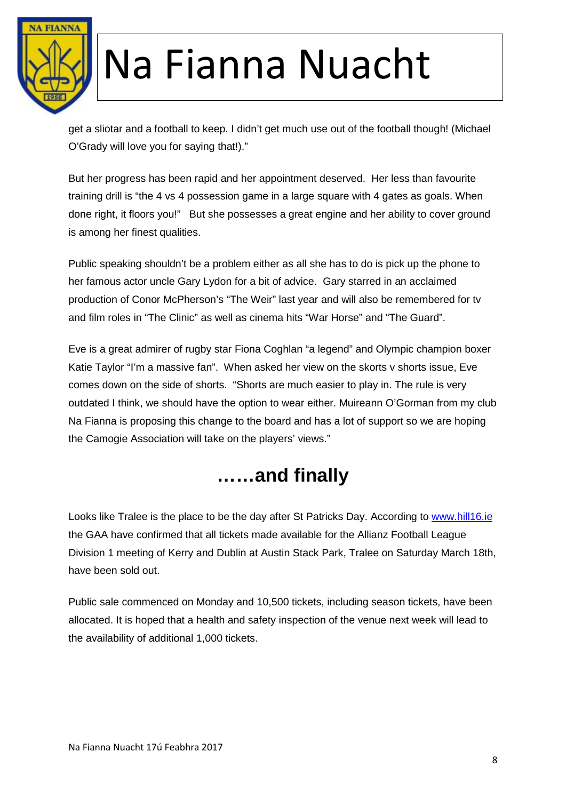

get a sliotar and a football to keep. I didn't get much use out of the football though! (Michael O'Grady will love you for saying that!)."

But her progress has been rapid and her appointment deserved. Her less than favourite training drill is "the 4 vs 4 possession game in a large square with 4 gates as goals. When done right, it floors you!" But she possesses a great engine and her ability to cover ground is among her finest qualities.

Public speaking shouldn't be a problem either as all she has to do is pick up the phone to her famous actor uncle Gary Lydon for a bit of advice. Gary starred in an acclaimed production of Conor McPherson's "The Weir" last year and will also be remembered for tv and film roles in "The Clinic" as well as cinema hits "War Horse" and "The Guard".

Eve is a great admirer of rugby star Fiona Coghlan "a legend" and Olympic champion boxer Katie Taylor "I'm a massive fan". When asked her view on the skorts v shorts issue, Eve comes down on the side of shorts. "Shorts are much easier to play in. The rule is very outdated I think, we should have the option to wear either. Muireann O'Gorman from my club Na Fianna is proposing this change to the board and has a lot of support so we are hoping the Camogie Association will take on the players' views."

#### **……and finally**

Looks like Tralee is the place to be the day after St Patricks Day. According to www.hill16.ie the GAA have confirmed that all tickets made available for the Allianz Football League Division 1 meeting of Kerry and Dublin at Austin Stack Park, Tralee on Saturday March 18th, have been sold out.

Public sale commenced on Monday and 10,500 tickets, including season tickets, have been allocated. It is hoped that a health and safety inspection of the venue next week will lead to the availability of additional 1,000 tickets.